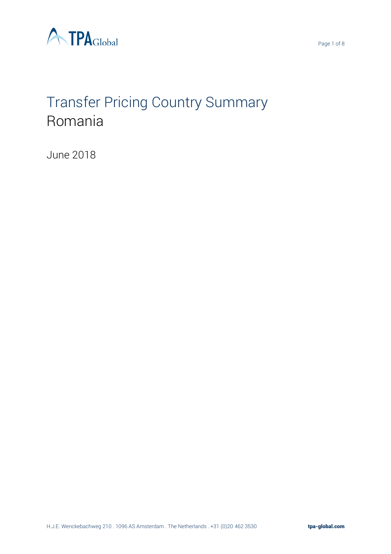



# Transfer Pricing Country Summary Romania

June 2018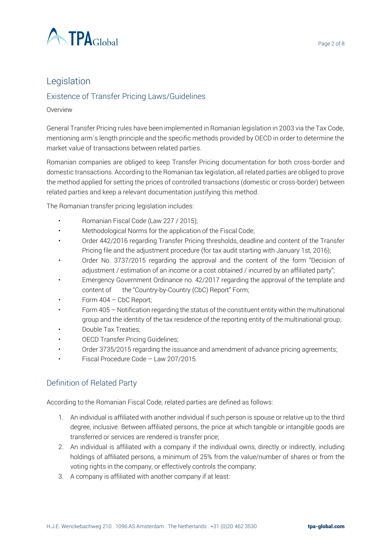

# Legislation

## Existence of Transfer Pricing Laws/Guidelines

#### Overview

General Transfer Pricing rules have been implemented in Romanian legislation in 2003 via the Tax Code, mentioning arm´s length principle and the specific methods provided by OECD in order to determine the market value of transactions between related parties.

Romanian companies are obliged to keep Transfer Pricing documentation for both cross-border and domestic transactions. According to the Romanian tax legislation, all related parties are obliged to prove the method applied for setting the prices of controlled transactions (domestic or cross-border) between related parties and keep a relevant documentation justifying this method.

The Romanian transfer pricing legislation includes:

- Romanian Fiscal Code (Law 227 / 2015);
- Methodological Norms for the application of the Fiscal Code;
- Order 442/2016 regarding Transfer Pricing thresholds, deadline and content of the Transfer Pricing file and the adjustment procedure (for tax audit starting with January 1st, 2016);
- Order No. 3737/2015 regarding the approval and the content of the form "Decision of adjustment / estimation of an income or a cost obtained / incurred by an affiliated party";
- Emergency Government Ordinance no. 42/2017 regarding the approval of the template and content of the "Country-by-Country (CbC) Report" Form;
- Form 404 CbC Report;
- Form 405 Notification regarding the status of the constituent entity within the multinational group and the identity of the tax residence of the reporting entity of the multinational group;
- Double Tax Treaties;
- OECD Transfer Pricing Guidelines;
- Order 3735/2015 regarding the issuance and amendment of advance pricing agreements;
- Fiscal Procedure Code Law 207/2015.

## Definition of Related Party

According to the Romanian Fiscal Code, related parties are defined as follows:

- 1. An individual is affiliated with another individual if such person is spouse or relative up to the third degree, inclusive. Between affiliated persons, the price at which tangible or intangible goods are transferred or services are rendered is transfer price;
- 2. An individual is affiliated with a company if the individual owns, directly or indirectly, including holdings of affiliated persons, a minimum of 25% from the value/number of shares or from the voting rights in the company, or effectively controls the company;
- 3. A company is affiliated with another company if at least: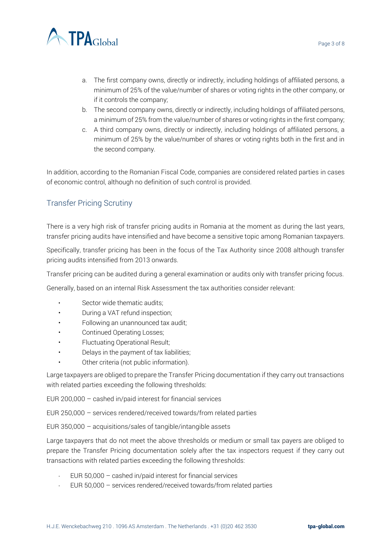

- a. The first company owns, directly or indirectly, including holdings of affiliated persons, a minimum of 25% of the value/number of shares or voting rights in the other company, or if it controls the company;
- b. The second company owns, directly or indirectly, including holdings of affiliated persons, a minimum of 25% from the value/number of shares or voting rights in the first company;
- c. A third company owns, directly or indirectly, including holdings of affiliated persons, a minimum of 25% by the value/number of shares or voting rights both in the first and in the second company.

In addition, according to the Romanian Fiscal Code, companies are considered related parties in cases of economic control, although no definition of such control is provided.

## Transfer Pricing Scrutiny

There is a very high risk of transfer pricing audits in Romania at the moment as during the last years, transfer pricing audits have intensified and have become a sensitive topic among Romanian taxpayers.

Specifically, transfer pricing has been in the focus of the Tax Authority since 2008 although transfer pricing audits intensified from 2013 onwards.

Transfer pricing can be audited during a general examination or audits only with transfer pricing focus.

Generally, based on an internal Risk Assessment the tax authorities consider relevant:

- Sector wide thematic audits;
- During a VAT refund inspection;
- Following an unannounced tax audit;
- Continued Operating Losses;
- Fluctuating Operational Result;
- Delays in the payment of tax liabilities;
- Other criteria (not public information).

Large taxpayers are obliged to prepare the Transfer Pricing documentation if they carry out transactions with related parties exceeding the following thresholds:

EUR 200,000 – cashed in/paid interest for financial services

EUR 250,000 – services rendered/received towards/from related parties

EUR 350,000 – acquisitions/sales of tangible/intangible assets

Large taxpayers that do not meet the above thresholds or medium or small tax payers are obliged to prepare the Transfer Pricing documentation solely after the tax inspectors request if they carry out transactions with related parties exceeding the following thresholds:

- EUR 50,000 cashed in/paid interest for financial services
- EUR 50,000 services rendered/received towards/from related parties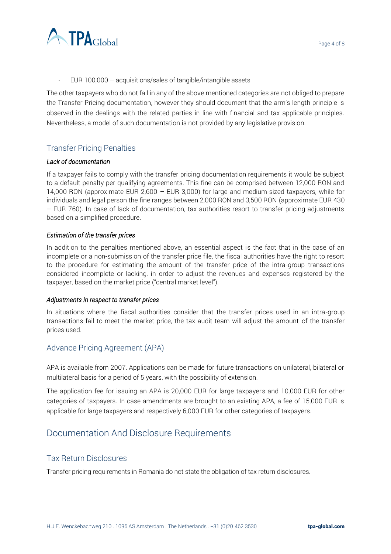

EUR 100,000 – acquisitions/sales of tangible/intangible assets

The other taxpayers who do not fall in any of the above mentioned categories are not obliged to prepare the Transfer Pricing documentation, however they should document that the arm's length principle is observed in the dealings with the related parties in line with financial and tax applicable principles. Nevertheless, a model of such documentation is not provided by any legislative provision.

#### Transfer Pricing Penalties

#### *Lack of documentation*

If a taxpayer fails to comply with the transfer pricing documentation requirements it would be subject to a default penalty per qualifying agreements. This fine can be comprised between 12,000 RON and 14,000 RON (approximate EUR 2,600 – EUR 3,000) for large and medium-sized taxpayers, while for individuals and legal person the fine ranges between 2,000 RON and 3,500 RON (approximate EUR 430 – EUR 760). In case of lack of documentation, tax authorities resort to transfer pricing adjustments based on a simplified procedure.

#### *Estimation of the transfer prices*

In addition to the penalties mentioned above, an essential aspect is the fact that in the case of an incomplete or a non-submission of the transfer price file, the fiscal authorities have the right to resort to the procedure for estimating the amount of the transfer price of the intra-group transactions considered incomplete or lacking, in order to adjust the revenues and expenses registered by the taxpayer, based on the market price ("central market level").

#### *Adjustments in respect to transfer prices*

In situations where the fiscal authorities consider that the transfer prices used in an intra-group transactions fail to meet the market price, the tax audit team will adjust the amount of the transfer prices used.

#### Advance Pricing Agreement (APA)

APA is available from 2007. Applications can be made for future transactions on unilateral, bilateral or multilateral basis for a period of 5 years, with the possibility of extension.

The application fee for issuing an APA is 20,000 EUR for large taxpayers and 10,000 EUR for other categories of taxpayers. In case amendments are brought to an existing APA, a fee of 15,000 EUR is applicable for large taxpayers and respectively 6,000 EUR for other categories of taxpayers.

## Documentation And Disclosure Requirements

#### Tax Return Disclosures

Transfer pricing requirements in Romania do not state the obligation of tax return disclosures.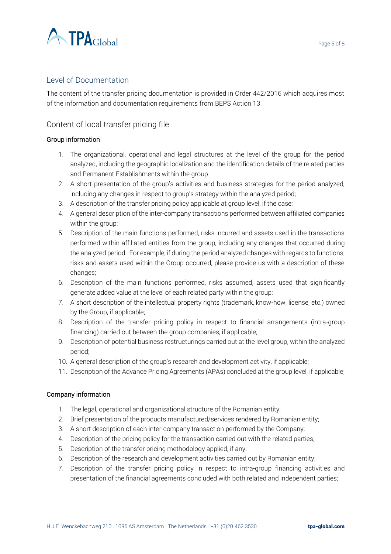

#### Level of Documentation

The content of the transfer pricing documentation is provided in Order 442/2016 which acquires most of the information and documentation requirements from BEPS Action 13.

#### Content of local transfer pricing file

#### Group information

- 1. The organizational, operational and legal structures at the level of the group for the period analyzed, including the geographic localization and the identification details of the related parties and Permanent Establishments within the group
- 2. A short presentation of the group's activities and business strategies for the period analyzed, including any changes in respect to group's strategy within the analyzed period;
- 3. A description of the transfer pricing policy applicable at group level, if the case;
- 4. A general description of the inter-company transactions performed between affiliated companies within the group;
- 5. Description of the main functions performed, risks incurred and assets used in the transactions performed within affiliated entities from the group, including any changes that occurred during the analyzed period. For example, if during the period analyzed changes with regards to functions, risks and assets used within the Group occurred, please provide us with a description of these changes;
- 6. Description of the main functions performed, risks assumed, assets used that significantly generate added value at the level of each related party within the group;
- 7. A short description of the intellectual property rights (trademark, know-how, license, etc.) owned by the Group, if applicable;
- 8. Description of the transfer pricing policy in respect to financial arrangements (intra-group financing) carried out between the group companies, if applicable;
- 9. Description of potential business restructurings carried out at the level group, within the analyzed period;
- 10. A general description of the group's research and development activity, if applicable;
- 11. Description of the Advance Pricing Agreements (APAs) concluded at the group level, if applicable;

#### Company information

- 1. The legal, operational and organizational structure of the Romanian entity;
- 2. Brief presentation of the products manufactured/services rendered by Romanian entity;
- 3. A short description of each inter-company transaction performed by the Company;
- 4. Description of the pricing policy for the transaction carried out with the related parties;
- 5. Description of the transfer pricing methodology applied, if any;
- 6. Description of the research and development activities carried out by Romanian entity;
- 7. Description of the transfer pricing policy in respect to intra-group financing activities and presentation of the financial agreements concluded with both related and independent parties;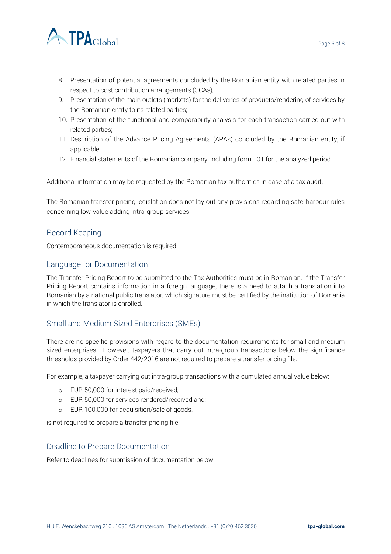

- 8. Presentation of potential agreements concluded by the Romanian entity with related parties in respect to cost contribution arrangements (CCAs);
- 9. Presentation of the main outlets (markets) for the deliveries of products/rendering of services by the Romanian entity to its related parties;
- 10. Presentation of the functional and comparability analysis for each transaction carried out with related parties;
- 11. Description of the Advance Pricing Agreements (APAs) concluded by the Romanian entity, if applicable;
- 12. Financial statements of the Romanian company, including form 101 for the analyzed period.

Additional information may be requested by the Romanian tax authorities in case of a tax audit.

The Romanian transfer pricing legislation does not lay out any provisions regarding safe-harbour rules concerning low-value adding intra-group services.

#### Record Keeping

Contemporaneous documentation is required.

#### Language for Documentation

The Transfer Pricing Report to be submitted to the Tax Authorities must be in Romanian. If the Transfer Pricing Report contains information in a foreign language, there is a need to attach a translation into Romanian by a national public translator, which signature must be certified by the institution of Romania in which the translator is enrolled.

#### Small and Medium Sized Enterprises (SMEs)

There are no specific provisions with regard to the documentation requirements for small and medium sized enterprises. However, taxpayers that carry out intra-group transactions below the significance thresholds provided by Order 442/2016 are not required to prepare a transfer pricing file.

For example, a taxpayer carrying out intra-group transactions with a cumulated annual value below:

- o EUR 50,000 for interest paid/received;
- o EUR 50,000 for services rendered/received and;
- o EUR 100,000 for acquisition/sale of goods.

is not required to prepare a transfer pricing file.

#### Deadline to Prepare Documentation

Refer to deadlines for submission of documentation below.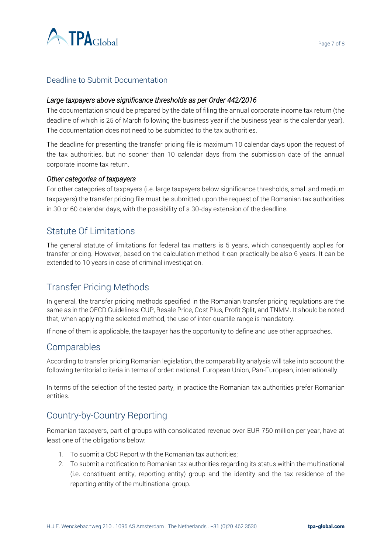

### Deadline to Submit Documentation

#### *Large taxpayers above significance thresholds as per Order 442/2016*

The documentation should be prepared by the date of filing the annual corporate income tax return (the deadline of which is 25 of March following the business year if the business year is the calendar year). The documentation does not need to be submitted to the tax authorities.

The deadline for presenting the transfer pricing file is maximum 10 calendar days upon the request of the tax authorities, but no sooner than 10 calendar days from the submission date of the annual corporate income tax return.

#### *Other categories of taxpayers*

For other categories of taxpayers (i.e. large taxpayers below significance thresholds, small and medium taxpayers) the transfer pricing file must be submitted upon the request of the Romanian tax authorities in 30 or 60 calendar days, with the possibility of a 30-day extension of the deadline.

# Statute Of Limitations

The general statute of limitations for federal tax matters is 5 years, which consequently applies for transfer pricing. However, based on the calculation method it can practically be also 6 years. It can be extended to 10 years in case of criminal investigation.

# Transfer Pricing Methods

In general, the transfer pricing methods specified in the Romanian transfer pricing regulations are the same as in the OECD Guidelines: CUP, Resale Price, Cost Plus, Profit Split, and TNMM. It should be noted that, when applying the selected method, the use of inter-quartile range is mandatory.

If none of them is applicable, the taxpayer has the opportunity to define and use other approaches.

## Comparables

According to transfer pricing Romanian legislation, the comparability analysis will take into account the following territorial criteria in terms of order: national, European Union, Pan-European, internationally.

In terms of the selection of the tested party, in practice the Romanian tax authorities prefer Romanian entities.

## Country-by-Country Reporting

Romanian taxpayers, part of groups with consolidated revenue over EUR 750 million per year, have at least one of the obligations below:

- 1. To submit a CbC Report with the Romanian tax authorities;
- 2. To submit a notification to Romanian tax authorities regarding its status within the multinational (i.e. constituent entity, reporting entity) group and the identity and the tax residence of the reporting entity of the multinational group.